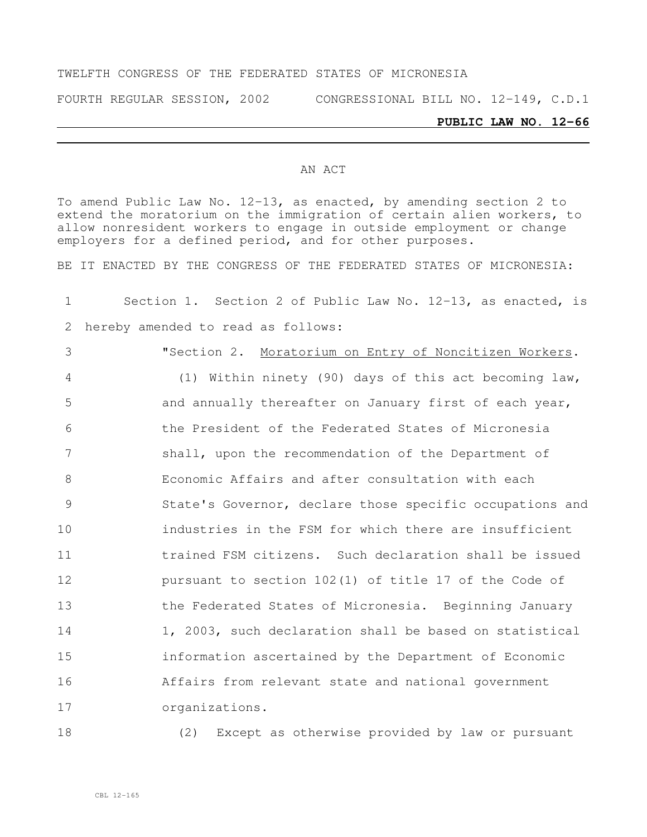#### TWELFTH CONGRESS OF THE FEDERATED STATES OF MICRONESIA

FOURTH REGULAR SESSION, 2002 CONGRESSIONAL BILL NO. 12-149, C.D.1

### **PUBLIC LAW NO. 12-66**

#### AN ACT

To amend Public Law No. 12-13, as enacted, by amending section 2 to extend the moratorium on the immigration of certain alien workers, to allow nonresident workers to engage in outside employment or change employers for a defined period, and for other purposes.

BE IT ENACTED BY THE CONGRESS OF THE FEDERATED STATES OF MICRONESIA:

# Section 1. Section 2 of Public Law No. 12-13, as enacted, is hereby amended to read as follows:

 "Section 2. Moratorium on Entry of Noncitizen Workers. (1) Within ninety (90) days of this act becoming law, and annually thereafter on January first of each year, the President of the Federated States of Micronesia shall, upon the recommendation of the Department of Economic Affairs and after consultation with each State's Governor, declare those specific occupations and industries in the FSM for which there are insufficient trained FSM citizens. Such declaration shall be issued pursuant to section 102(1) of title 17 of the Code of the Federated States of Micronesia. Beginning January 1, 2003, such declaration shall be based on statistical information ascertained by the Department of Economic Affairs from relevant state and national government

organizations.

(2) Except as otherwise provided by law or pursuant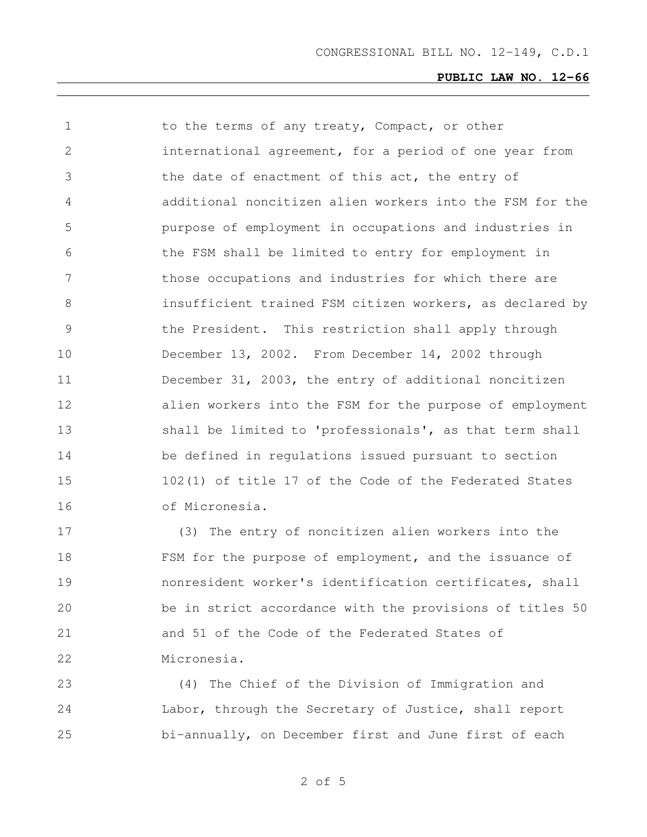| $\mathbf 1$     | to the terms of any treaty, Compact, or other            |
|-----------------|----------------------------------------------------------|
| 2               | international agreement, for a period of one year from   |
| 3               | the date of enactment of this act, the entry of          |
| 4               | additional noncitizen alien workers into the FSM for the |
| 5               | purpose of employment in occupations and industries in   |
| 6               | the FSM shall be limited to entry for employment in      |
| $7\phantom{.0}$ | those occupations and industries for which there are     |
| 8               | insufficient trained FSM citizen workers, as declared by |
| 9               | the President. This restriction shall apply through      |
| 10              | December 13, 2002. From December 14, 2002 through        |
| 11              | December 31, 2003, the entry of additional noncitizen    |
| 12              | alien workers into the FSM for the purpose of employment |
| 13              | shall be limited to 'professionals', as that term shall  |
| 14              | be defined in regulations issued pursuant to section     |
| 15              | 102(1) of title 17 of the Code of the Federated States   |
| 16              | of Micronesia.                                           |
|                 |                                                          |

 (3) The entry of noncitizen alien workers into the 18 FSM for the purpose of employment, and the issuance of nonresident worker's identification certificates, shall be in strict accordance with the provisions of titles 50 and 51 of the Code of the Federated States of Micronesia.

 (4) The Chief of the Division of Immigration and Labor, through the Secretary of Justice, shall report bi-annually, on December first and June first of each

of 5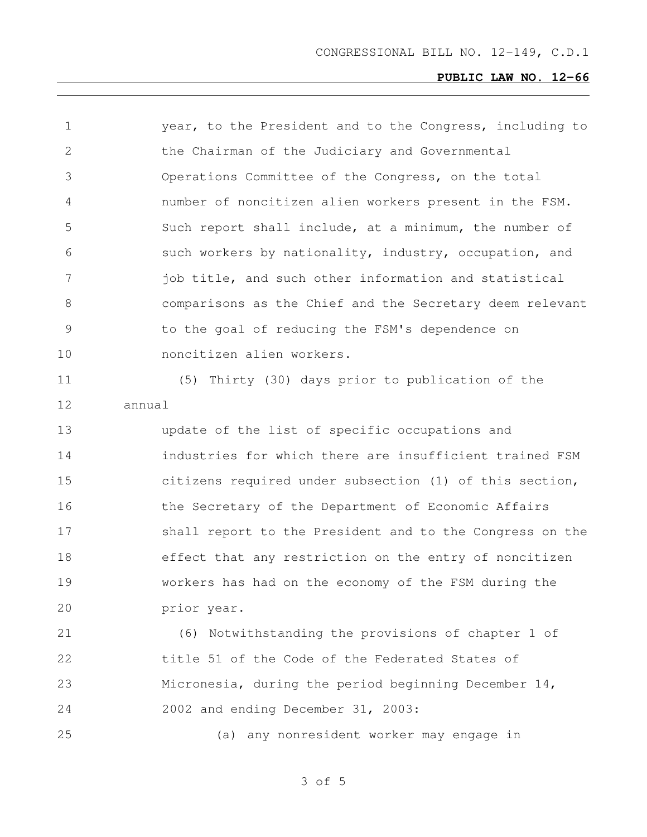| $\mathbf 1$    | year, to the President and to the Congress, including to |
|----------------|----------------------------------------------------------|
| 2              | the Chairman of the Judiciary and Governmental           |
| 3              | Operations Committee of the Congress, on the total       |
| 4              | number of noncitizen alien workers present in the FSM.   |
| 5              | Such report shall include, at a minimum, the number of   |
| 6              | such workers by nationality, industry, occupation, and   |
| 7              | job title, and such other information and statistical    |
| 8              | comparisons as the Chief and the Secretary deem relevant |
| $\overline{9}$ | to the goal of reducing the FSM's dependence on          |
| 10             | noncitizen alien workers.                                |
| 11             | (5) Thirty (30) days prior to publication of the         |
| 12             | annual                                                   |
| 13             | update of the list of specific occupations and           |
| 14             | industries for which there are insufficient trained FSM  |
| 15             | citizens required under subsection (1) of this section,  |
| 16             | the Secretary of the Department of Economic Affairs      |
| 17             | shall report to the President and to the Congress on the |
| 18             | effect that any restriction on the entry of noncitizen   |
| 19             | workers has had on the economy of the FSM during the     |
| 20             | prior year.                                              |
| 21             | (6) Notwithstanding the provisions of chapter 1 of       |
| 22             | title 51 of the Code of the Federated States of          |
| 23             | Micronesia, during the period beginning December $14$ ,  |
| 24             | 2002 and ending December 31, 2003:                       |
| 25             | (a) any nonresident worker may engage in                 |
|                |                                                          |

of 5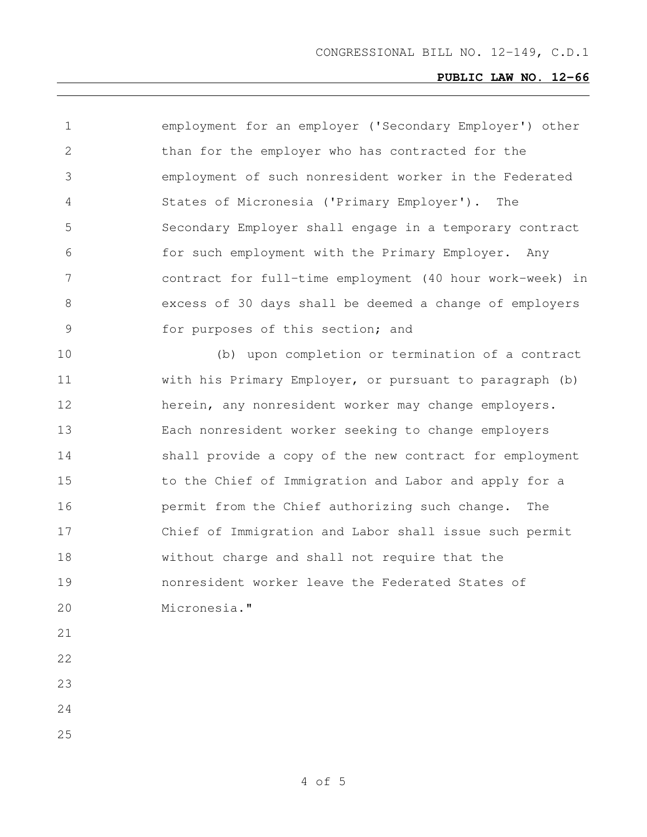| 1             | employment for an employer ('Secondary Employer') other  |
|---------------|----------------------------------------------------------|
| 2             | than for the employer who has contracted for the         |
| 3             | employment of such nonresident worker in the Federated   |
| 4             | States of Micronesia ('Primary Employer'). The           |
| 5             | Secondary Employer shall engage in a temporary contract  |
| 6             | for such employment with the Primary Employer. Any       |
| 7             | contract for full-time employment (40 hour work-week) in |
| 8             | excess of 30 days shall be deemed a change of employers  |
| $\mathcal{G}$ | for purposes of this section; and                        |
| 10            | (b) upon completion or termination of a contract         |
| 11            | with his Primary Employer, or pursuant to paragraph (b)  |
| 12            | herein, any nonresident worker may change employers.     |
| 13            | Each nonresident worker seeking to change employers      |
| 14            | shall provide a copy of the new contract for employment  |
| 15            | to the Chief of Immigration and Labor and apply for a    |
| 16            | permit from the Chief authorizing such change.<br>The    |
| 17            | Chief of Immigration and Labor shall issue such permit   |
| 18            | without charge and shall not require that the            |
| 19            | nonresident worker leave the Federated States of         |
| 20            | Micronesia."                                             |
| 21            |                                                          |
| 22            |                                                          |
| 23            |                                                          |
| 24            |                                                          |
| 25            |                                                          |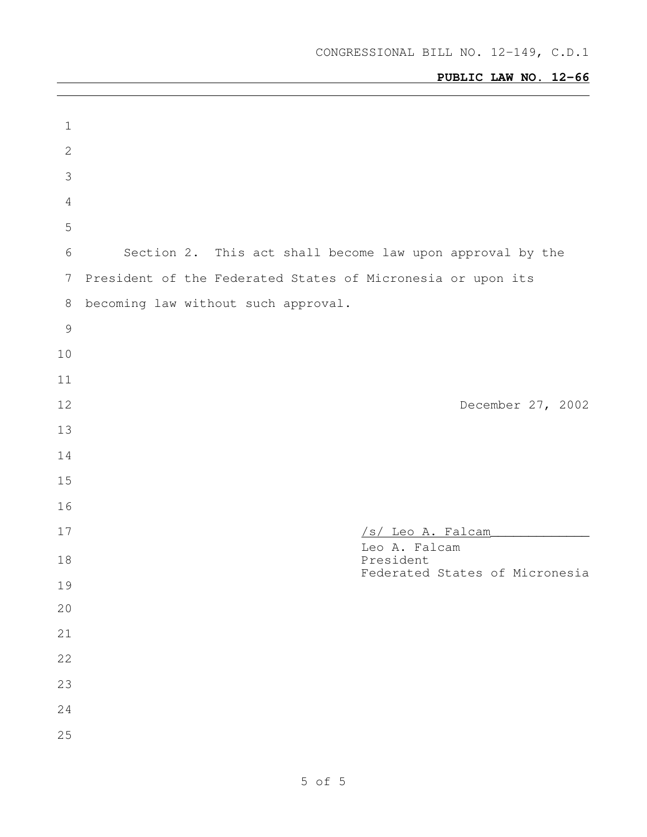| $\mathbf 1$     |                                                             |
|-----------------|-------------------------------------------------------------|
| $\mathbf{2}$    |                                                             |
| 3               |                                                             |
| $\overline{4}$  |                                                             |
| 5               |                                                             |
| 6               | Section 2. This act shall become law upon approval by the   |
| $7\phantom{.0}$ | President of the Federated States of Micronesia or upon its |
| $\,8\,$         | becoming law without such approval.                         |
| $\mathcal{G}$   |                                                             |
| 10              |                                                             |
| 11              |                                                             |
| 12              | December 27, 2002                                           |
| 13              |                                                             |
| 14              |                                                             |
| 15              |                                                             |
| 16              |                                                             |
| 17              | /s/ Leo A. Falcam                                           |
| 18              | Leo A. Falcam<br>President                                  |
| 19              | Federated States of Micronesia                              |
| 20              |                                                             |
| 21              |                                                             |
| 22              |                                                             |
| 23              |                                                             |
| 24              |                                                             |
| 25              |                                                             |